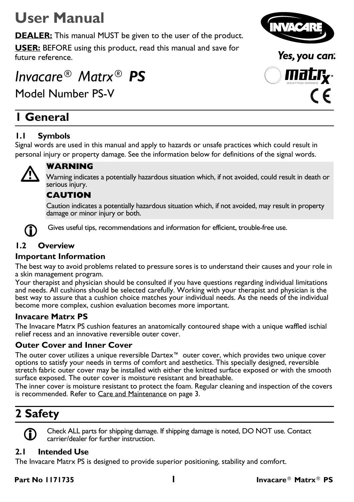# **User Manual**

**DEALER:** This manual MUST be given to the user of the product.

**USER:** BEFORE using this product, read this manual and save for future reference.

# *Invacare® Matrx® PS*

Model Number PS-V

### **1 General**

### **1.1 Symbols**

Signal words are used in this manual and apply to hazards or unsafe practices which could result in personal injury or property damage. See the information below for definitions of the signal words.



**WARNING**<br>Warning indicates a potentially hazardous situation which, if not avoided, could result in death or serious injury.

#### **CAUTION**

Caution indicates a potentially hazardous situation which, if not avoided, may result in property damage or minor injury or both.



Gives useful tips, recommendations and information for efficient, trouble-free use.

### **1.2 Overview**

#### **Important Information**

The best way to avoid problems related to pressure sores is to understand their causes and your role in a skin management program.

Your therapist and physician should be consulted if you have questions regarding individual limitations and needs. All cushions should be selected carefully. Working with your therapist and physician is the best way to assure that a cushion choice matches your individual needs. As the needs of the individual become more complex, cushion evaluation becomes more important.

#### **Invacare Matrx PS**

The Invacare Matrx PS cushion features an anatomically contoured shape with a unique waffled ischial relief recess and an innovative reversible outer cover.

#### **Outer Cover and Inner Cover**

The outer cover utilizes a unique reversible Dartex™ outer cover, which provides two unique cover options to satisfy your needs in terms of comfort and aesthetics. This specially designed, reversible stretch fabric outer cover may be installed with either the knitted surface exposed or with the smooth surface exposed. The outer cover is moisture resistant and breathable.

The inner cover is moisture resistant to protect the foam. Regular cleaning and inspection of the covers is recommended. [Refer to Care and Maintenance on page 3.](#page-2-0)

## **2 Safety**

 Check ALL parts for shipping damage. If shipping damage is noted, DO NOT use. Contact carrier/dealer for further instruction.

#### **2.1 Intended Use**

The Invacare Matrx PS is designed to provide superior positioning, stability and comfort.



Yes, you can:

mat.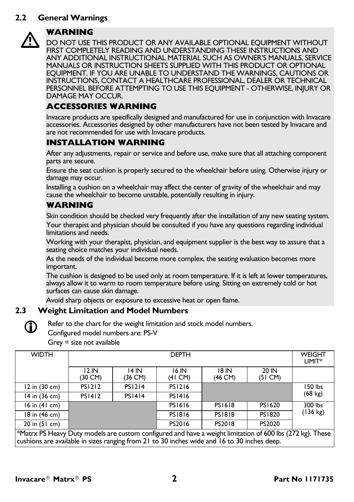#### **2.2 General Warnings**



WARNING<br>DO NOT USE THIS PRODUCT OR ANY AVAILABLE OPTIONAL EQUIPMENT WITHOUT FIRST COMPLETELY READING AND UNDERSTANDING THESE INSTRUCTIONS AND ANY ADDITIONAL INSTRUCTIONAL MATERIAL SUCH AS OWNER'S MANUALS, SERVICE MANUALS OR INSTRUCTION SHEETS SUPPLIED WITH THIS PRODUCT OR OPTIONAL EQUIPMENT. IF YOU ARE UNABLE TO UNDERSTAND THE WARNINGS, CAUTIONS OR INSTRUCTIONS, CONTACT A HEALTHCARE PROFESSIONAL, DEALER OR TECHNICAL PERSONNEL BEFORE ATTEMPTING TO USE THIS EQUIPMENT - OTHERWISE, INJURY OR DAMAGE MAY OCCUR.

#### **ACCESSORIES WARNING**

Invacare products are specifically designed and manufactured for use in conjunction with Invacare accessories. Accessories designed by other manufacturers have not been tested by Invacare and are not recommended for use with Invacare products.

#### **INSTALLATION WARNING**

After any adjustments, repair or service and before use, make sure that all attaching component parts are secure.

Ensure the seat cushion is properly secured to the wheelchair before using. Otherwise injury or damage may occur.

Installing a cushion on a wheelchair may affect the center of gravity of the wheelchair and may cause the wheelchair to become unstable, potentially resulting in injury.

#### **WARNING**

Skin condition should be checked very frequently after the installation of any new seating system.

Your therapist and physician should be consulted if you have any questions regarding individual limitations and needs.

Working with your therapist, physician, and equipment supplier is the best way to assure that a seating choice matches your individual needs.

As the needs of the individual become more complex, the seating evaluation becomes more important.

The cushion is designed to be used only at room temperature. If it is left at lower temperatures, always allow it to warm to room temperature before using. Sitting on extremely cold or hot surfaces can cause skin damage.

Avoid sharp objects or exposure to excessive heat or open flame.

#### **2.3 Weight Limitation and Model Numbers**



Refer to the chart for the weight limitation and stock model numbers.

Configured model numbers are: PS-V

Grey = size not available

| <b>WIDTH</b>                              | <b>DEPTH</b>     |                  |                            |                  | <b>WEIGHT</b><br>LIMIT*    |                    |
|-------------------------------------------|------------------|------------------|----------------------------|------------------|----------------------------|--------------------|
|                                           | 12 IN<br>(30 CM) | 14 IN<br>(36 CM) | 16 IN<br>$(41 \text{ CM})$ | 18 IN<br>(46 CM) | 20 IN<br>$(51 \text{ CM})$ |                    |
| $12$ in $(30 \text{ cm})$                 | <b>PS1212</b>    | <b>PS1214</b>    | <b>PS1216</b>              |                  |                            | 150 lbs            |
| 14 in (36 cm)                             | <b>PS1412</b>    | <b>PS1414</b>    | <b>PS1416</b>              |                  | $(68 \text{ kg})$          |                    |
| $16$ in $(41$ cm)                         |                  |                  | <b>PS1616</b>              | <b>PS1618</b>    | <b>PS1620</b>              | 300 lbs            |
| 18 in (46 cm)                             |                  |                  | <b>PS1816</b>              | <b>PS1818</b>    | <b>PS1820</b>              | $(136 \text{ kg})$ |
| $20$ in $(51$ cm)<br>$\sim$ $\sim$ $\sim$ |                  |                  | PS2016                     | PS2018           | PS2020                     |                    |

\*Matrx PS Heavy Duty models are custom configured and have a weight limitation of 600 lbs (272 kg). These cushions are available in sizes ranging from 21 to 30 inches wide and 16 to 30 inches deep.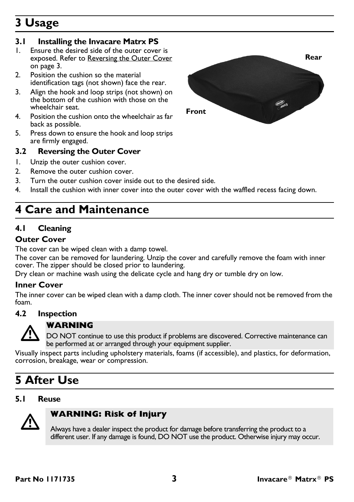## **3 Usage**

#### **3.1 Installing the Invacare Matrx PS**

- 1. Ensure the desired side of the outer cover is exposed. [Refer to Reversing the Outer Cover](#page-2-1) [on page 3](#page-2-1).
- 2. Position the cushion so the material identification tags (not shown) face the rear.
- 3. Align the hook and loop strips (not shown) on the bottom of the cushion with those on the wheelchair seat.
- 4. Position the cushion onto the wheelchair as far back as possible.
- 5. Press down to ensure the hook and loop strips are firmly engaged.

#### <span id="page-2-1"></span>**3.2 Reversing the Outer Cover**

- 1. Unzip the outer cushion cover.
- 2. Remove the outer cushion cover.
- 3. Turn the outer cushion cover inside out to the desired side.
- 4. Install the cushion with inner cover into the outer cover with the waffled recess facing down.

### <span id="page-2-0"></span>**4 Care and Maintenance**

### **4.1 Cleaning**

#### **Outer Cover**

The cover can be wiped clean with a damp towel.

The cover can be removed for laundering. Unzip the cover and carefully remove the foam with inner cover. The zipper should be closed prior to laundering.

Dry clean or machine wash using the delicate cycle and hang dry or tumble dry on low.

#### **Inner Cover**

The inner cover can be wiped clean with a damp cloth. The inner cover should not be removed from the foam.

#### **4.2 Inspection**



**WARNING**<br>DO NOT continue to use this product if problems are discovered. Corrective maintenance can be performed at or arranged through your equipment supplier.

Visually inspect parts including upholstery materials, foams (if accessible), and plastics, for deformation, corrosion, breakage, wear or compression.

### **5 After Use**

#### **5.1 Reuse**



#### **WARNING: Risk of Injury**

Always have a dealer inspect the product for damage before transferring the product to a different user. If any damage is found, DO NOT use the product. Otherwise injury may occur.